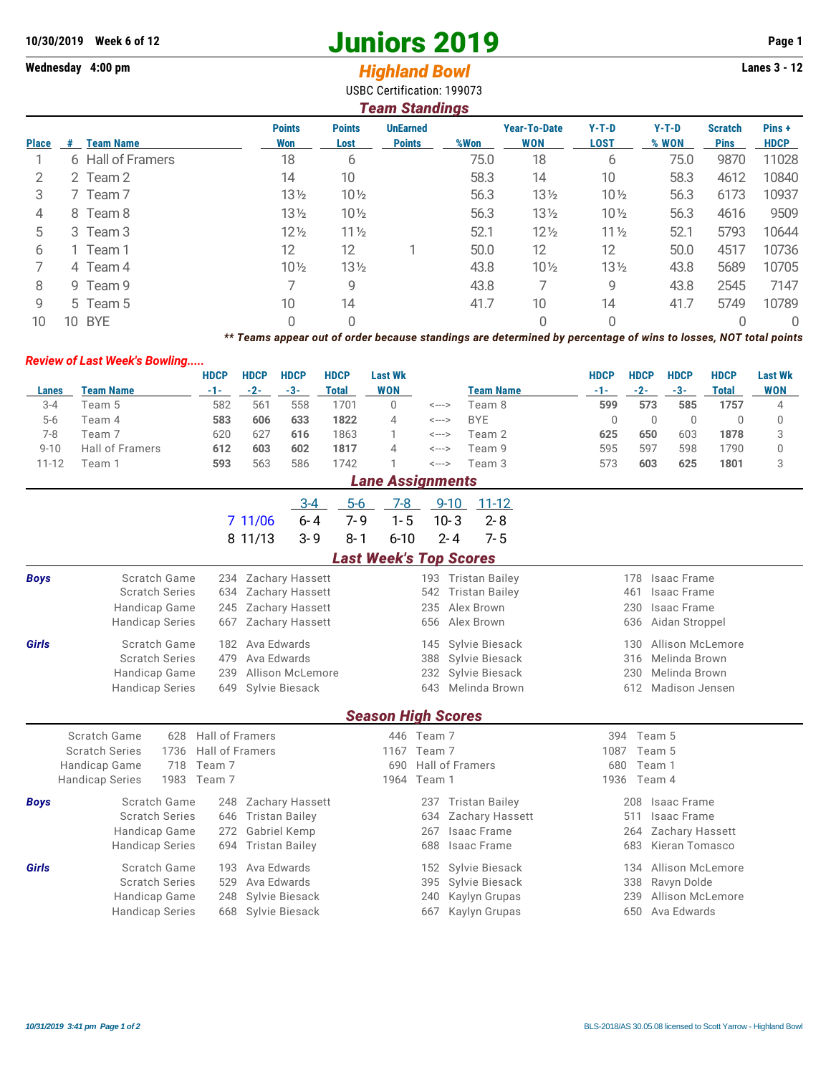## **10/30/2019** Week 6 of 12<br> **10/30/2019** Page 1<br> **14/4/50 Page 1**<br> **14/4/50 Page 1**<br> **14/4/50 Page 1**<br> **14/4/50 Page 1**<br> **14/4/50 Page 1**<br> **14/4/50 Page 1**<br> **14/4/50 Page 1**<br> **14/4/50 Page 1**

## Wednesday 4:00 pm<br> **Highland Bowl**

USBC Certification: 199073

|              |                                          |                        |                 |                             |                       | OSDC CENNICANON. 1990/J<br><b>Team Standings</b> |                                        |          |                    |                                                                                                                 |                        |                |                    |                               |                       |
|--------------|------------------------------------------|------------------------|-----------------|-----------------------------|-----------------------|--------------------------------------------------|----------------------------------------|----------|--------------------|-----------------------------------------------------------------------------------------------------------------|------------------------|----------------|--------------------|-------------------------------|-----------------------|
| <b>Place</b> | # Team Name                              |                        |                 | <b>Points</b><br><b>Won</b> | <b>Points</b><br>Lost | <b>UnEarned</b><br><b>Points</b>                 |                                        |          | %Won               | <b>Year-To-Date</b><br><b>WON</b>                                                                               | $Y-T-D$<br><b>LOST</b> |                | $Y-T-D$<br>% WON   | <b>Scratch</b><br><b>Pins</b> | Pins +<br><b>HDCP</b> |
| 1            | 6 Hall of Framers                        |                        |                 | 18                          | 6                     |                                                  |                                        |          | 75.0               | 18                                                                                                              | 6                      |                | 75.0               | 9870                          | 11028                 |
| 2            | 2 Team 2                                 |                        |                 | 14                          | 10                    |                                                  |                                        |          | 58.3               | 14                                                                                                              | 10                     |                | 58.3               | 4612                          | 10840                 |
| 3            | 7 Team 7                                 |                        |                 | $13\frac{1}{2}$             | 10 <sub>2</sub>       |                                                  |                                        |          | 56.3               | $13\frac{1}{2}$                                                                                                 | 10 <sub>2</sub>        |                | 56.3               | 6173                          | 10937                 |
| 4            | 8 Team 8                                 |                        |                 | 131/2                       | 10 <sub>2</sub>       |                                                  |                                        |          | 56.3               | 13 1/2                                                                                                          | $10\frac{1}{2}$        |                | 56.3               | 4616                          | 9509                  |
| 5            | 3 Team 3                                 |                        |                 | $12\frac{1}{2}$             | $11\frac{1}{2}$       |                                                  |                                        |          | 52.1               | $12\frac{1}{2}$                                                                                                 | $11\frac{1}{2}$        |                | 52.1               | 5793                          | 10644                 |
| 6            | 1 Team 1                                 |                        |                 | 12                          | 12                    |                                                  | 1                                      |          | 50.0               | 12                                                                                                              | 12                     |                | 50.0               | 4517                          | 10736                 |
| 7            | 4 Team 4                                 |                        |                 | 10 <sub>2</sub>             | 13 1/2                |                                                  |                                        |          | 43.8               | 10 <sub>2</sub>                                                                                                 | 13 1/2                 |                | 43.8               | 5689                          | 10705                 |
| 8            | 9 Team 9                                 |                        |                 | $\overline{7}$              | 9                     |                                                  |                                        |          | 43.8               | 7                                                                                                               | 9                      |                | 43.8               | 2545                          | 7147                  |
| 9            | 5 Team 5                                 |                        |                 | 10                          | 14                    |                                                  |                                        |          | 41.7               | 10                                                                                                              | 14                     |                | 41.7               | 5749                          | 10789                 |
| 10           | 10 BYE                                   |                        |                 | $\Omega$                    | $\Omega$              |                                                  |                                        |          |                    | $\Omega$                                                                                                        | $\Omega$               |                |                    | $\Omega$                      | $\Omega$              |
|              |                                          |                        |                 |                             |                       |                                                  |                                        |          |                    | ** Teams appear out of order because standings are determined by percentage of wins to losses, NOT total points |                        |                |                    |                               |                       |
|              | <b>Review of Last Week's Bowling</b>     |                        |                 |                             |                       |                                                  |                                        |          |                    |                                                                                                                 |                        |                |                    |                               |                       |
|              |                                          | <b>HDCP</b>            | <b>HDCP</b>     | <b>HDCP</b>                 | <b>HDCP</b>           | <b>Last Wk</b>                                   |                                        |          |                    |                                                                                                                 | <b>HDCP</b>            | <b>HDCP</b>    | <b>HDCP</b>        | <b>HDCP</b>                   | <b>Last Wk</b>        |
| <b>Lanes</b> | <b>Team Name</b>                         | $-1-$                  | $-2-$           | $-3-$                       | <b>Total</b>          | <b>WON</b>                                       |                                        |          | <b>Team Name</b>   |                                                                                                                 | $-1-$                  | $-2-$          | $-3-$              | <b>Total</b>                  | <b>WON</b>            |
| $3 - 4$      | Team 5                                   | 582                    | 561             | 558                         | 1701                  | 0                                                | <--->                                  |          | Team 8             |                                                                                                                 | 599                    | 573            | 585                | 1757                          | 4                     |
| $5-6$        | Team 4                                   | 583                    | 606             | 633                         | 1822                  | 4                                                | $\left\langle \text{---}\right\rangle$ |          | <b>BYE</b>         |                                                                                                                 | $\mathbf 0$            | $\mathbb O$    | $\mathbf 0$        | $\mathbf 0$                   | 0                     |
| $7 - 8$      | Team 7                                   | 620                    | 627             | 616                         | 1863                  | 1                                                | <--->                                  |          | Team 2             |                                                                                                                 | 625                    | 650            | 603                | 1878                          | 3                     |
| $9 - 10$     | <b>Hall of Framers</b>                   | 612                    | 603             | 602                         | 1817                  | 4                                                | <--->                                  |          | Team 9             |                                                                                                                 | 595                    | 597            | 598                | 1790                          | 0                     |
| $11 - 12$    | Team 1                                   | 593                    | 563             | 586                         | 1742                  | 1                                                | $\leftarrow$ $\rightarrow$             |          | Team 3             |                                                                                                                 | 573                    | 603            | 625                | 1801                          | 3                     |
|              |                                          |                        |                 |                             |                       | <b>Lane Assignments</b>                          |                                        |          |                    |                                                                                                                 |                        |                |                    |                               |                       |
|              |                                          |                        |                 | $3 - 4$                     | $5-6$                 | $7-8$                                            |                                        |          | $9-10$ $11-12$     |                                                                                                                 |                        |                |                    |                               |                       |
|              |                                          |                        | 7 11/06         | $6 - 4$                     | $7 - 9$               | $1 - 5$                                          |                                        | $10 - 3$ | $2 - 8$            |                                                                                                                 |                        |                |                    |                               |                       |
|              |                                          |                        | 8 11/13         | $3 - 9$                     | $8 - 1$               | $6 - 10$                                         |                                        | $2 - 4$  | $7 - 5$            |                                                                                                                 |                        |                |                    |                               |                       |
|              |                                          |                        |                 |                             |                       | <b>Last Week's Top Scores</b>                    |                                        |          |                    |                                                                                                                 |                        |                |                    |                               |                       |
| <b>Boys</b>  | Scratch Game                             |                        |                 | 234 Zachary Hassett         |                       |                                                  |                                        |          | 193 Tristan Bailey |                                                                                                                 |                        |                | 178 Isaac Frame    |                               |                       |
|              | <b>Scratch Series</b>                    | 634                    |                 | <b>Zachary Hassett</b>      |                       |                                                  |                                        |          | 542 Tristan Bailey |                                                                                                                 |                        | 461            | Isaac Frame        |                               |                       |
|              | Handicap Game                            | 245                    |                 | Zachary Hassett             |                       |                                                  | 235                                    |          | Alex Brown         |                                                                                                                 |                        | 230            | <b>Isaac Frame</b> |                               |                       |
|              | <b>Handicap Series</b>                   | 667                    |                 | <b>Zachary Hassett</b>      |                       |                                                  | 656                                    |          | Alex Brown         |                                                                                                                 |                        | 636            | Aidan Stroppel     |                               |                       |
| Girls        | Scratch Game                             |                        | 182 Ava Edwards |                             |                       |                                                  |                                        |          | 145 Sylvie Biesack |                                                                                                                 |                        | 130            |                    | Allison McLemore              |                       |
|              | <b>Scratch Series</b>                    | 479                    | Ava Edwards     |                             |                       |                                                  |                                        |          | 388 Sylvie Biesack |                                                                                                                 |                        | 316            | Melinda Brown      |                               |                       |
|              | Handicap Game                            | 239                    |                 | Allison McLemore            |                       |                                                  |                                        |          | 232 Sylvie Biesack |                                                                                                                 |                        | 230            | Melinda Brown      |                               |                       |
|              | <b>Handicap Series</b>                   |                        |                 | 649 Sylvie Biesack          |                       |                                                  |                                        |          | 643 Melinda Brown  |                                                                                                                 |                        |                | 612 Madison Jensen |                               |                       |
|              |                                          |                        |                 |                             |                       | <b>Season High Scores</b>                        |                                        |          |                    |                                                                                                                 |                        |                |                    |                               |                       |
|              | <b>Scratch Game</b><br>628               | Hall of Framers        |                 |                             |                       |                                                  | 446 Team 7                             |          |                    |                                                                                                                 |                        | 394 Team 5     |                    |                               |                       |
|              | <b>Scratch Series</b><br>1736            | <b>Hall of Framers</b> |                 |                             |                       |                                                  | 1167 Team 7                            |          |                    |                                                                                                                 |                        | 1087 Team 5    |                    |                               |                       |
|              | Handicap Game                            | 718 Team 7             |                 |                             |                       |                                                  | 690 Hall of Framers                    |          |                    |                                                                                                                 |                        | 680 Team 1     |                    |                               |                       |
|              | Lista distant Ospitale<br>$1000 - T - m$ |                        |                 |                             |                       |                                                  | $1001$ T <sub>rem</sub> 1              |          |                    |                                                                                                                 |                        | $1000T - 7224$ |                    |                               |                       |

| <b>Handicap Series</b> |                                                                                                                                                                                     |                                                                                                                                                                       |  |                                                                                                                                                                                      |                      |  |  |
|------------------------|-------------------------------------------------------------------------------------------------------------------------------------------------------------------------------------|-----------------------------------------------------------------------------------------------------------------------------------------------------------------------|--|--------------------------------------------------------------------------------------------------------------------------------------------------------------------------------------|----------------------|--|--|
|                        |                                                                                                                                                                                     |                                                                                                                                                                       |  |                                                                                                                                                                                      | 208 Isaac Frame      |  |  |
|                        |                                                                                                                                                                                     |                                                                                                                                                                       |  |                                                                                                                                                                                      | 511 Isaac Frame      |  |  |
|                        |                                                                                                                                                                                     |                                                                                                                                                                       |  |                                                                                                                                                                                      | 264 Zachary Hassett  |  |  |
|                        |                                                                                                                                                                                     |                                                                                                                                                                       |  |                                                                                                                                                                                      | 683 Kieran Tomasco   |  |  |
|                        |                                                                                                                                                                                     |                                                                                                                                                                       |  |                                                                                                                                                                                      | 134 Allison McLemore |  |  |
|                        |                                                                                                                                                                                     |                                                                                                                                                                       |  |                                                                                                                                                                                      | 338 Ravyn Dolde      |  |  |
|                        |                                                                                                                                                                                     |                                                                                                                                                                       |  |                                                                                                                                                                                      | 239 Allison McLemore |  |  |
|                        |                                                                                                                                                                                     |                                                                                                                                                                       |  |                                                                                                                                                                                      | 650 Ava Edwards      |  |  |
| <b>Boys</b><br>Girls   | 1983 Team 7<br>Scratch Game<br><b>Scratch Series</b><br>Handicap Game<br><b>Handicap Series</b><br>Scratch Game<br><b>Scratch Series</b><br>Handicap Game<br><b>Handicap Series</b> | 248 Zachary Hassett<br>646 Tristan Bailey<br>272 Gabriel Kemp<br>694 Tristan Bailey<br>193 Ava Edwards<br>529 Ava Edwards<br>248 Sylvie Biesack<br>668 Sylvie Biesack |  | 1964 Team 1<br>237 Tristan Bailey<br>634 Zachary Hassett<br>267 Isaac Frame<br>688 Isaac Frame<br>152 Sylvie Biesack<br>395 Sylvie Biesack<br>240 Kaylyn Grupas<br>667 Kaylyn Grupas | 1936 Team 4          |  |  |